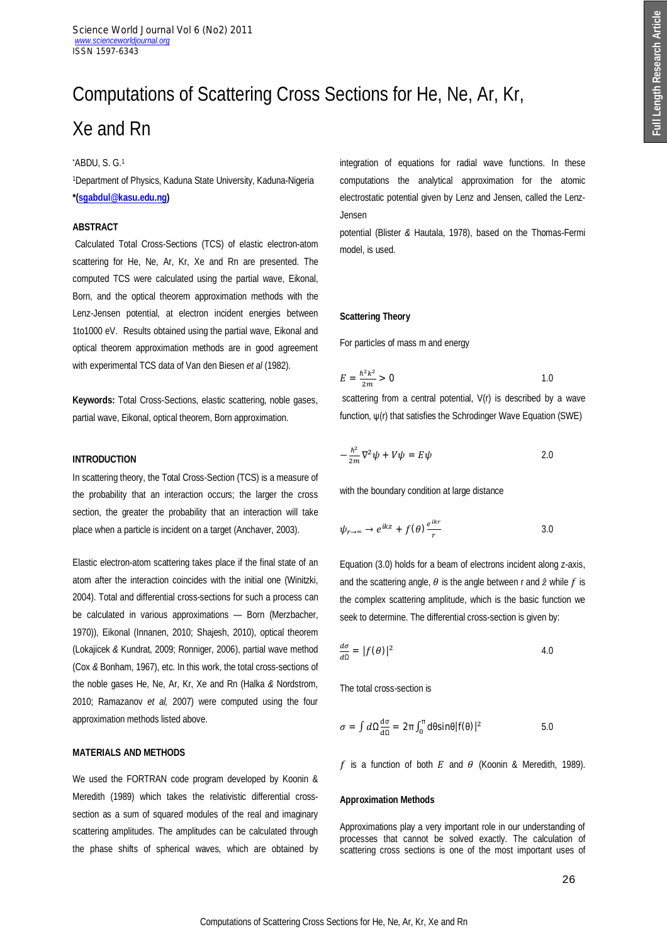# Computations of Scattering Cross Sections for He, Ne, Ar, Kr, Xe and Rn

# \*ABDU, S. G.<sup>1</sup>

<sup>1</sup>Department of Physics, Kaduna State University, Kaduna-Nigeria **\*(sgabdul@kasu.edu.ng)** 

# **ABSTRACT**

Calculated Total Cross-Sections (TCS) of elastic electron-atom scattering for He, Ne, Ar, Kr, Xe and Rn are presented. The computed TCS were calculated using the partial wave, Eikonal, Born, and the optical theorem approximation methods with the Lenz-Jensen potential, at electron incident energies between 1to1000 eV. Results obtained using the partial wave, Eikonal and optical theorem approximation methods are in good agreement with experimental TCS data of Van den Biesen *et al* (1982).

**Keywords:** Total Cross-Sections, elastic scattering, noble gases, partial wave, Eikonal, optical theorem, Born approximation.

## **INTRODUCTION**

In scattering theory, the Total Cross-Section (TCS) is a measure of the probability that an interaction occurs; the larger the cross section, the greater the probability that an interaction will take place when a particle is incident on a target (Anchaver, 2003).

Elastic electron-atom scattering takes place if the final state of an atom after the interaction coincides with the initial one (Winitzki, 2004). Total and differential cross-sections for such a process can be calculated in various approximations — Born (Merzbacher, 1970)), Eikonal (Innanen, 2010; Shajesh, 2010), optical theorem (Lokajicek *&* Kundrat, 2009; Ronniger, 2006), partial wave method (Cox *&* Bonham, 1967), etc. In this work, the total cross-sections of the noble gases He, Ne, Ar, Kr, Xe and Rn (Halka *&* Nordstrom, 2010; Ramazanov *et al,* 2007) were computed using the four approximation methods listed above.

## **MATERIALS AND METHODS**

We used the FORTRAN code program developed by Koonin & Meredith (1989) which takes the relativistic differential crosssection as a sum of squared modules of the real and imaginary scattering amplitudes. The amplitudes can be calculated through the phase shifts of spherical waves, which are obtained by integration of equations for radial wave functions. In these computations the analytical approximation for the atomic electrostatic potential given by Lenz and Jensen, called the Lenz-Jensen

potential (Blister *&* Hautala, 1978), based on the Thomas-Fermi model, is used.

#### **Scattering Theory**

For particles of mass m and energy

$$
E = \frac{\hbar^2 k^2}{2m} > 0
$$

scattering from a central potential, V(r) is described by a wave function, ψ(r) that satisfies the Schrodinger Wave Equation (SWE)

$$
-\frac{\hbar^2}{2m}\nabla^2\psi + V\psi = E\psi
$$
 2.0

with the boundary condition at large distance

$$
\psi_{r \to \infty} \to e^{ikz} + f(\theta) \frac{e^{ikr}}{r}
$$

Equation (3.0) holds for a beam of electrons incident along z-axis, and the scattering angle,  $\theta$  is the angle between r and  $\hat{z}$  while  $f$  is the complex scattering amplitude, which is the basic function we seek to determine. The differential cross-section is given by:

$$
\frac{d\sigma}{d\Omega} = |f(\theta)|^2 \tag{4.0}
$$

The total cross-section is

$$
\sigma = \int d\Omega \frac{d\sigma}{d\Omega} = 2\pi \int_0^{\pi} d\theta \sin\theta |f(\theta)|^2
$$

f is a function of both E and  $\theta$  (Koonin & Meredith, 1989).

## **Approximation Methods**

Approximations play a very important role in our understanding of processes that cannot be solved exactly. The calculation of scattering cross sections is one of the most important uses of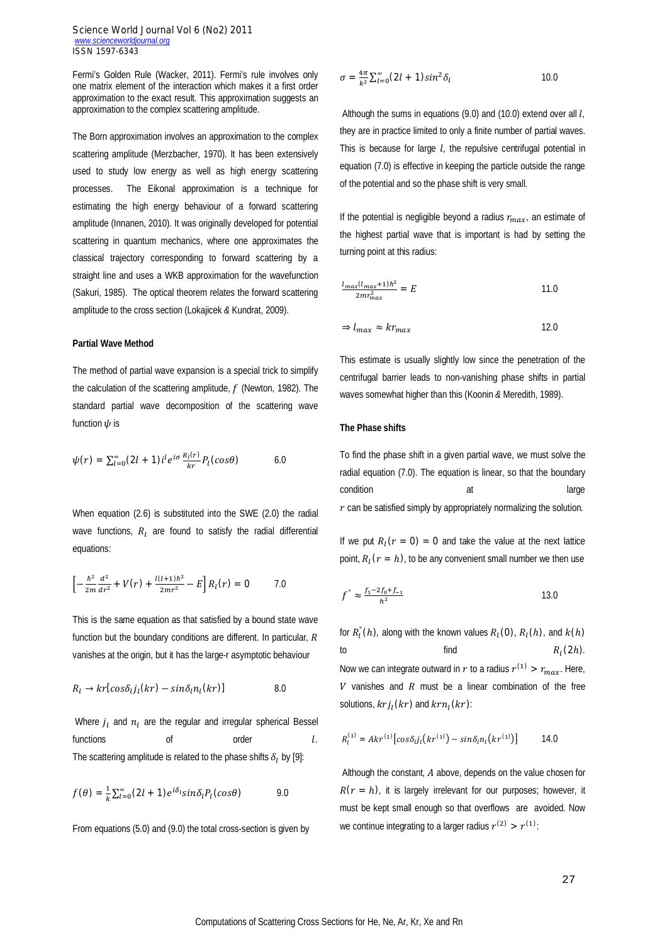Fermi's Golden Rule (Wacker, 2011). Fermi's rule involves only one matrix element of the interaction which makes it a first order approximation to the exact result. This approximation suggests an approximation to the complex scattering amplitude.

The Born approximation involves an approximation to the complex scattering amplitude (Merzbacher, 1970). It has been extensively used to study low energy as well as high energy scattering processes. The Eikonal approximation is a technique for estimating the high energy behaviour of a forward scattering amplitude (Innanen, 2010). It was originally developed for potential scattering in quantum mechanics, where one approximates the classical trajectory corresponding to forward scattering by a straight line and uses a WKB approximation for the wavefunction (Sakuri, 1985). The optical theorem relates the forward scattering amplitude to the cross section (Lokajicek *&* Kundrat, 2009).

#### **Partial Wave Method**

The method of partial wave expansion is a special trick to simplify the calculation of the scattering amplitude,  $f$  (Newton, 1982). The standard partial wave decomposition of the scattering wave function  $\psi$  is

$$
\psi(r) = \sum_{l=0}^{\infty} (2l+1)i^l e^{i\sigma} \frac{R_l(r)}{kr} P_l(cos\theta)
$$
 6.0

When equation (2.6) is substituted into the SWE (2.0) the radial wave functions,  $R_1$  are found to satisfy the radial differential equations:

$$
\[-\frac{\hbar^2}{2m}\frac{d^2}{dr^2} + V(r) + \frac{l(l+1)\hbar^2}{2mr^2} - E\]R_l(r) = 0 \qquad \qquad 7.0
$$

This is the same equation as that satisfied by a bound state wave function but the boundary conditions are different. In particular,  $$ vanishes at the origin, but it has the large-r asymptotic behaviour

$$
R_l \to kr[cos\delta_l j_l(kr) - sin\delta_l n_l(kr)] \tag{8.0}
$$

Where  $j_l$  and  $n_l$  are the regular and irregular spherical Bessel functions of order *l.* The scattering amplitude is related to the phase shifts  $\delta_l$  by [9]:

$$
f(\theta) = \frac{1}{k} \sum_{l=0}^{\infty} (2l+1) e^{i\delta_l} sin \delta_l P_l(cos \theta)
$$
 9.0

From equations (5.0) and (9.0) the total cross-section is given by

$$
\sigma = \frac{4\pi}{k^2} \sum_{l=0}^{\infty} (2l+1) \sin^2 \delta_l \tag{10.0}
$$

Although the sums in equations (9.0) and (10.0) extend over all *l<sub>i</sub>* they are in practice limited to only a finite number of partial waves. This is because for large *l*, the repulsive centrifugal potential in equation (7.0) is effective in keeping the particle outside the range of the potential and so the phase shift is very small.

If the potential is negligible beyond a radius  $r_{max}$ , an estimate of the highest partial wave that is important is had by setting the turning point at this radius:

$$
\frac{l_{max}(l_{max}+1)\hbar^2}{2mr_{max}^2} = E \tag{11.0}
$$

$$
\Rightarrow l_{max} \approx kr_{max} \tag{12.0}
$$

This estimate is usually slightly low since the penetration of the centrifugal barrier leads to non-vanishing phase shifts in partial waves somewhat higher than this (Koonin *&* Meredith, 1989).

## **The Phase shifts**

To find the phase shift in a given partial wave, we must solve the radial equation (7.0). The equation is linear, so that the boundary condition at a large and at large  $r$  can be satisfied simply by appropriately normalizing the solution.

If we put  $R_l(r = 0) = 0$  and take the value at the next lattice point,  $R_l(r = h)$ , to be any convenient small number we then use

$$
f'' \approx \frac{f_1 - 2f_0 + f_{-1}}{h^2} \tag{13.0}
$$

for  $R_{l}^{''}(h)$ , along with the known values  $R_{l}(0)$ ,  $R_{l}(h)$ , and  $k(h)$ to find  $R_l$  $R_{1}(2h)$ . Now we can integrate outward in  $r$  to a radius  $r^{(1)} > r_{max}$ . Here,  $V$  vanishes and  $R$  must be a linear combination of the free solutions,  $krj_l(kr)$  and  $krn_l(kr)$ :

$$
R_l^{(1)} = Akr^{(1)} \big[ cos \delta_{l} j_l \big( kr^{(1)} \big) - sin \delta_l n_l \big( kr^{(1)} \big) \big] \qquad 14.0
$$

Although the constant,  $A$  above, depends on the value chosen for  $R(r = h)$ , it is largely irrelevant for our purposes; however, it must be kept small enough so that overflows are avoided. Now we continue integrating to a larger radius  $r^{(2)} > r^{(1)}$ :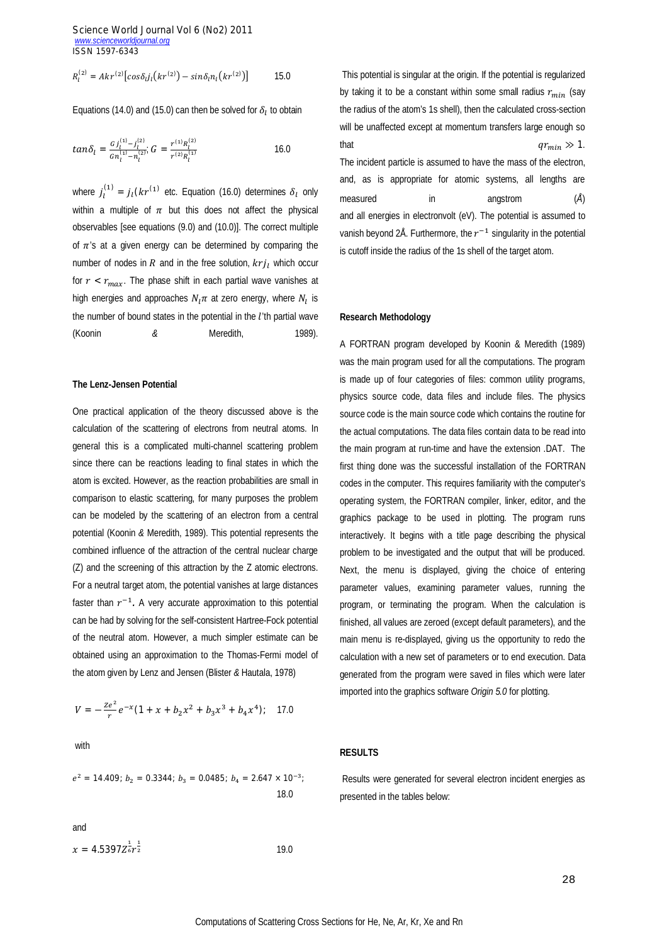$$
R_l^{(2)} = Akr^{(2)} \left[ cos \delta_{l} j_l \left( kr^{(2)} \right) - sin \delta_l n_l \left( kr^{(2)} \right) \right] \tag{15.0}
$$

Equations (14.0) and (15.0) can then be solved for  $\delta_l$  to obtain

$$
tan \delta_l = \frac{G_l_1^{(1)} - j_l^{(2)}}{G n_l^{(1)} - n_l^{(2)}}; \ G = \frac{r^{(1)} R_l^{(2)}}{r^{(2)} R_l^{(1)}} \tag{16.0}
$$

where  $j_l^{(1)} = j_l(kr^{(1)}$  etc. Equation (16.0) determines  $\delta_l$  only within a multiple of  $\pi$  but this does not affect the physical observables [see equations (9.0) and (10.0)]. The correct multiple of  $\pi$ 's at a given energy can be determined by comparing the number of nodes in  $R$  and in the free solution,  $krj_l$  which occur for  $r < r_{max}$ . The phase shift in each partial wave vanishes at high energies and approaches  $N_l \pi$  at zero energy, where  $N_l$  is the number of bound states in the potential in the  $l$ 'th partial wave (Koonin *&* Meredith, 1989).

#### **The Lenz-Jensen Potential**

One practical application of the theory discussed above is the calculation of the scattering of electrons from neutral atoms. In general this is a complicated multi-channel scattering problem since there can be reactions leading to final states in which the atom is excited. However, as the reaction probabilities are small in comparison to elastic scattering, for many purposes the problem can be modeled by the scattering of an electron from a central potential (Koonin *&* Meredith, 1989). This potential represents the combined influence of the attraction of the central nuclear charge (Z) and the screening of this attraction by the Z atomic electrons. For a neutral target atom, the potential vanishes at large distances faster than  $r^{-1}$ . A very accurate approximation to this potential can be had by solving for the self-consistent Hartree-Fock potential of the neutral atom. However, a much simpler estimate can be obtained using an approximation to the Thomas-Fermi model of the atom given by Lenz and Jensen (Blister *&* Hautala, 1978)

$$
V = -\frac{Ze^{2}}{r}e^{-x}(1 + x + b_{2}x^{2} + b_{3}x^{3} + b_{4}x^{4});
$$
 17.0

with

$$
e^2 = 14.409
$$
;  $b_2 = 0.3344$ ;  $b_3 = 0.0485$ ;  $b_4 = 2.647 \times 10^{-3}$ ;  
18.0

and

$$
x = 4.5397Z_{\rm eff}^{\frac{1}{2}} \tag{19.0}
$$

This potential is singular at the origin. If the potential is regularized by taking it to be a constant within some small radius  $r_{min}$  (say the radius of the atom's 1s shell), then the calculated cross-section will be unaffected except at momentum transfers large enough so that  $qr_{min} \gg 1$ . The incident particle is assumed to have the mass of the electron, and, as is appropriate for atomic systems, all lengths are measured in angstrom (*Å*) and all energies in electronvolt (eV). The potential is assumed to vanish beyond 2Å. Furthermore, the  $r^{-1}$  singularity in the potential is cutoff inside the radius of the 1s shell of the target atom.

## **Research Methodology**

A FORTRAN program developed by Koonin & Meredith (1989) was the main program used for all the computations. The program is made up of four categories of files: common utility programs, physics source code, data files and include files. The physics source code is the main source code which contains the routine for the actual computations. The data files contain data to be read into the main program at run-time and have the extension .DAT. The first thing done was the successful installation of the FORTRAN codes in the computer. This requires familiarity with the computer's operating system, the FORTRAN compiler, linker, editor, and the graphics package to be used in plotting. The program runs interactively. It begins with a title page describing the physical problem to be investigated and the output that will be produced. Next, the menu is displayed, giving the choice of entering parameter values, examining parameter values, running the program, or terminating the program. When the calculation is finished, all values are zeroed (except default parameters), and the main menu is re-displayed, giving us the opportunity to redo the calculation with a new set of parameters or to end execution. Data generated from the program were saved in files which were later imported into the graphics software *Origin 5.0* for plotting.

## **RESULTS**

Results were generated for several electron incident energies as presented in the tables below: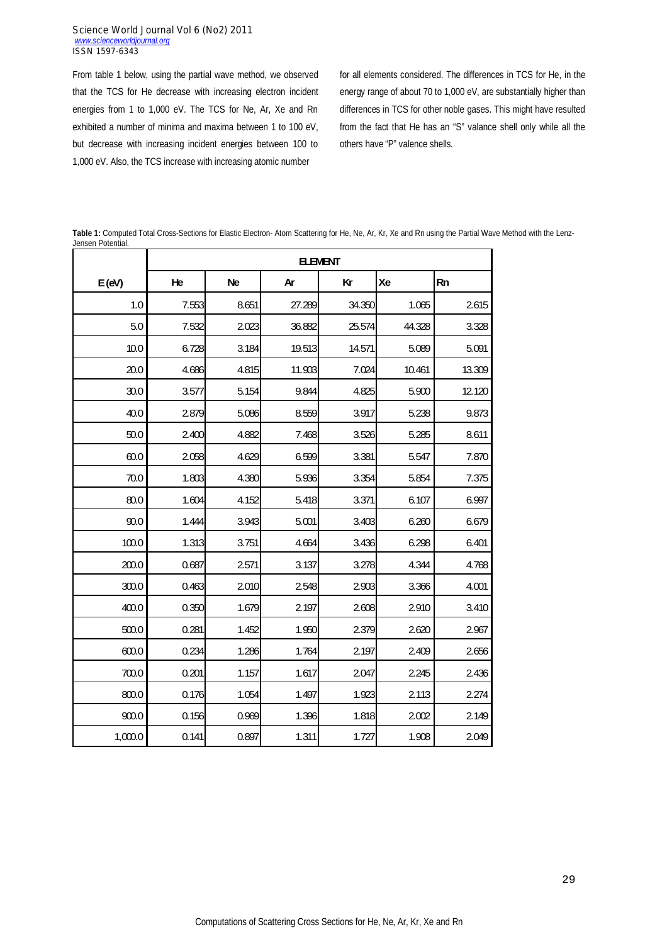From table 1 below, using the partial wave method, we observed that the TCS for He decrease with increasing electron incident energies from 1 to 1,000 eV. The TCS for Ne, Ar, Xe and Rn exhibited a number of minima and maxima between 1 to 100 eV, but decrease with increasing incident energies between 100 to 1,000 eV. Also, the TCS increase with increasing atomic number

for all elements considered. The differences in TCS for He, in the energy range of about 70 to 1,000 eV, are substantially higher than differences in TCS for other noble gases. This might have resulted from the fact that He has an "S" valance shell only while all the others have "P" valence shells.

|                   |  |  |  | Table 1: Computed Total Cross-Sections for Elastic Electron- Atom Scattering for He, Ne, Ar, Kr, Xe and Rn using the Partial Wave Method with the Lenz- |  |  |
|-------------------|--|--|--|---------------------------------------------------------------------------------------------------------------------------------------------------------|--|--|
| Jensen Potential. |  |  |  |                                                                                                                                                         |  |  |

|         | <b>ELEMENT</b> |           |        |        |        |           |  |  |
|---------|----------------|-----------|--------|--------|--------|-----------|--|--|
| E(eV)   | He             | <b>Ne</b> | Ar     | Kr     | Xe     | <b>Rn</b> |  |  |
| 1.0     | 7.553          | 8.651     | 27.289 | 34.350 | 1.065  | 2.615     |  |  |
| 5.0     | 7.532          | 2.023     | 36.882 | 25.574 | 44.328 | 3.328     |  |  |
| 10.0    | 6.728          | 3.184     | 19.513 | 14.571 | 5.089  | 5.091     |  |  |
| 20.0    | 4.686          | 4.815     | 11.903 | 7.024  | 10.461 | 13.309    |  |  |
| 30.0    | 3.577          | 5.154     | 9.844  | 4.825  | 5.900  | 12.120    |  |  |
| 40.0    | 2.879          | 5.086     | 8.559  | 3.917  | 5.238  | 9.873     |  |  |
| 50.0    | 2.400          | 4.882     | 7.468  | 3.526  | 5.285  | 8.611     |  |  |
| 60.0    | 2.058          | 4.629     | 6.599  | 3.381  | 5.547  | 7.870     |  |  |
| 70.0    | 1.803          | 4.380     | 5.936  | 3.354  | 5.854  | 7.375     |  |  |
| 80.0    | 1.604          | 4.152     | 5.418  | 3.371  | 6.107  | 6.997     |  |  |
| 90.0    | 1.444          | 3.943     | 5.001  | 3.403  | 6.260  | 6.679     |  |  |
| 100.0   | 1.313          | 3.751     | 4.664  | 3.436  | 6.298  | 6.401     |  |  |
| 200.0   | 0.687          | 2.571     | 3.137  | 3.278  | 4.344  | 4.768     |  |  |
| 300.0   | 0.463          | 2.010     | 2548   | 2.903  | 3.366  | 4.001     |  |  |
| 400.0   | 0.350          | 1.679     | 2.197  | 2.608  | 2.910  | 3.410     |  |  |
| 500.0   | 0.281          | 1.452     | 1.950  | 2.379  | 2.620  | 2.967     |  |  |
| 600.0   | 0.234          | 1.286     | 1.764  | 2.197  | 2.409  | 2.656     |  |  |
| 700.0   | 0.201          | 1.157     | 1.617  | 2.047  | 2.245  | 2.436     |  |  |
| 800.0   | 0.176          | 1.054     | 1.497  | 1.923  | 2.113  | 2.274     |  |  |
| 900.0   | 0.156          | 0.969     | 1.396  | 1.818  | 2.002  | 2.149     |  |  |
| 1,000.0 | 0.141          | 0.897     | 1.311  | 1.727  | 1.908  | 2.049     |  |  |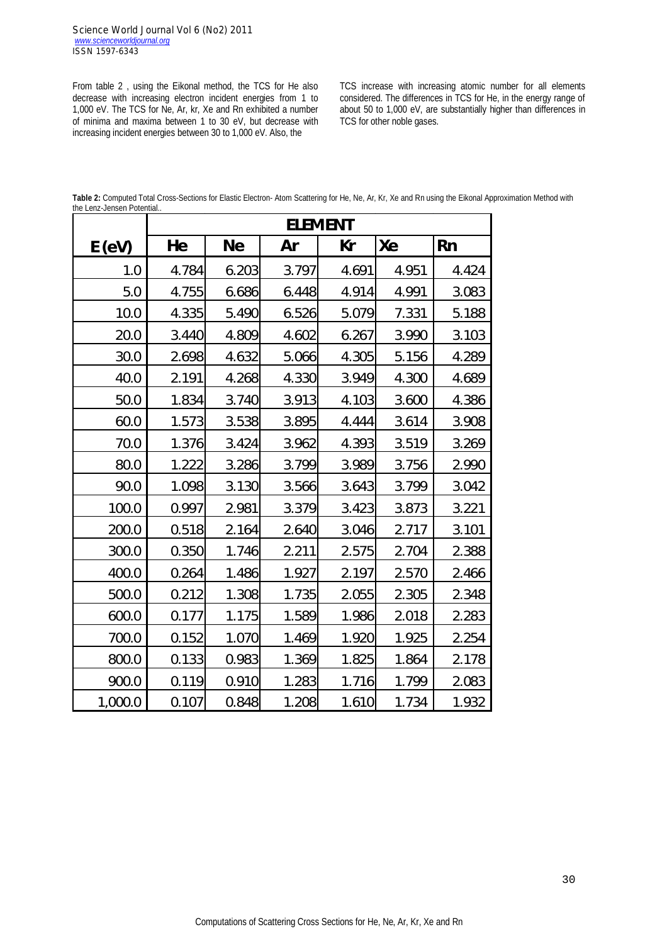From table 2 , using the Eikonal method, the TCS for He also decrease with increasing electron incident energies from 1 to 1,000 eV. The TCS for Ne, Ar, kr, Xe and Rn exhibited a number of minima and maxima between 1 to 30 eV, but decrease with increasing incident energies between 30 to 1,000 eV. Also, the

TCS increase with increasing atomic number for all elements considered. The differences in TCS for He, in the energy range of about 50 to 1,000 eV, are substantially higher than differences in TCS for other noble gases.

**Table 2:** Computed Total Cross-Sections for Elastic Electron- Atom Scattering for He, Ne, Ar, Kr, Xe and Rn using the Eikonal Approximation Method with the Lenz-Jensen Potential..

|         | <b>ELEMENT</b> |           |       |       |       |           |  |  |  |
|---------|----------------|-----------|-------|-------|-------|-----------|--|--|--|
| E(eV)   | He             | <b>Ne</b> | Ar    | Kr    | Xe    | <b>Rn</b> |  |  |  |
| 1.0     | 4.784          | 6.203     | 3.797 | 4.691 | 4.951 | 4.424     |  |  |  |
| 5.0     | 4.755          | 6.686     | 6.448 | 4.914 | 4.991 | 3.083     |  |  |  |
| 10.0    | 4.335          | 5.490     | 6.526 | 5.079 | 7.331 | 5.188     |  |  |  |
| 20.0    | 3.440          | 4.809     | 4.602 | 6.267 | 3.990 | 3.103     |  |  |  |
| 30.0    | 2.698          | 4.632     | 5.066 | 4.305 | 5.156 | 4.289     |  |  |  |
| 40.0    | 2.191          | 4.268     | 4.330 | 3.949 | 4.300 | 4.689     |  |  |  |
| 50.0    | 1.834          | 3.740     | 3.913 | 4.103 | 3.600 | 4.386     |  |  |  |
| 60.0    | 1.573          | 3.538     | 3.895 | 4.444 | 3.614 | 3.908     |  |  |  |
| 70.0    | 1.376          | 3.424     | 3.962 | 4.393 | 3.519 | 3.269     |  |  |  |
| 80.0    | 1.222          | 3.286     | 3.799 | 3.989 | 3.756 | 2.990     |  |  |  |
| 90.0    | 1.098          | 3.130     | 3.566 | 3.643 | 3.799 | 3.042     |  |  |  |
| 100.0   | 0.997          | 2.981     | 3.379 | 3.423 | 3.873 | 3.221     |  |  |  |
| 200.0   | 0.518          | 2.164     | 2.640 | 3.046 | 2.717 | 3.101     |  |  |  |
| 300.0   | 0.350          | 1.746     | 2.211 | 2.575 | 2.704 | 2.388     |  |  |  |
| 400.0   | 0.264          | 1.486     | 1.927 | 2.197 | 2.570 | 2.466     |  |  |  |
| 500.0   | 0.212          | 1.308     | 1.735 | 2.055 | 2.305 | 2.348     |  |  |  |
| 600.0   | 0.177          | 1.175     | 1.589 | 1.986 | 2.018 | 2.283     |  |  |  |
| 700.0   | 0.152          | 1.070     | 1.469 | 1.920 | 1.925 | 2.254     |  |  |  |
| 800.0   | 0.133          | 0.983     | 1.369 | 1.825 | 1.864 | 2.178     |  |  |  |
| 900.0   | 0.119          | 0.910     | 1.283 | 1.716 | 1.799 | 2.083     |  |  |  |
| 1,000.0 | 0.107          | 0.848     | 1.208 | 1.610 | 1.734 | 1.932     |  |  |  |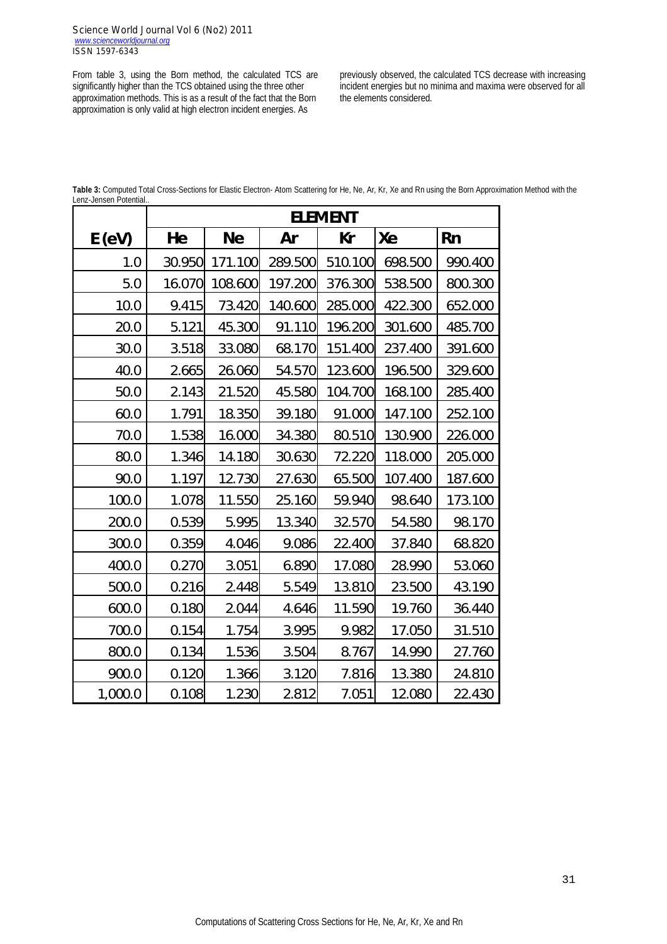From table 3, using the Born method, the calculated TCS are significantly higher than the TCS obtained using the three other approximation methods. This is as a result of the fact that the Born approximation is only valid at high electron incident energies. As

previously observed, the calculated TCS decrease with increasing incident energies but no minima and maxima were observed for all the elements considered.

**Table 3:** Computed Total Cross-Sections for Elastic Electron- Atom Scattering for He, Ne, Ar, Kr, Xe and Rn using the Born Approximation Method with the Lenz-Jensen Potential..

|         | <b>ELEMENT</b> |           |           |         |         |         |  |  |
|---------|----------------|-----------|-----------|---------|---------|---------|--|--|
| E(eV)   | He             | <b>Ne</b> | <b>Ar</b> | Kr      | Xe      | Rn      |  |  |
| 1.0     | 30.950         | 171.100   | 289.500   | 510.100 | 698.500 | 990.400 |  |  |
| 5.0     | 16.070         | 108.600   | 197.200   | 376.300 | 538.500 | 800.300 |  |  |
| 10.0    | 9.415          | 73.420    | 140.600   | 285.000 | 422.300 | 652.000 |  |  |
| 20.0    | 5.121          | 45.300    | 91.110    | 196.200 | 301.600 | 485.700 |  |  |
| 30.0    | 3.518          | 33.080    | 68.170    | 151.400 | 237.400 | 391.600 |  |  |
| 40.0    | 2.665          | 26.060    | 54.570    | 123.600 | 196.500 | 329.600 |  |  |
| 50.0    | 2.143          | 21.520    | 45.580    | 104.700 | 168.100 | 285.400 |  |  |
| 60.0    | 1.791          | 18.350    | 39.180    | 91.000  | 147.100 | 252.100 |  |  |
| 70.0    | 1.538          | 16.000    | 34.380    | 80.510  | 130.900 | 226.000 |  |  |
| 80.0    | 1.346          | 14.180    | 30.630    | 72.220  | 118.000 | 205.000 |  |  |
| 90.0    | 1.197          | 12.730    | 27.630    | 65.500  | 107.400 | 187.600 |  |  |
| 100.0   | 1.078          | 11.550    | 25.160    | 59.940  | 98.640  | 173.100 |  |  |
| 200.0   | 0.539          | 5.995     | 13.340    | 32.570  | 54.580  | 98.170  |  |  |
| 300.0   | 0.359          | 4.046     | 9.086     | 22.400  | 37.840  | 68.820  |  |  |
| 400.0   | 0.270          | 3.051     | 6.890     | 17.080  | 28.990  | 53.060  |  |  |
| 500.0   | 0.216          | 2.448     | 5.549     | 13.810  | 23.500  | 43.190  |  |  |
| 600.0   | 0.180          | 2.044     | 4.646     | 11.590  | 19.760  | 36.440  |  |  |
| 700.0   | 0.154          | 1.754     | 3.995     | 9.982   | 17.050  | 31.510  |  |  |
| 800.0   | 0.134          | 1.536     | 3.504     | 8.767   | 14.990  | 27.760  |  |  |
| 900.0   | 0.120          | 1.366     | 3.120     | 7.816   | 13.380  | 24.810  |  |  |
| 1,000.0 | 0.108          | 1.230     | 2.812     | 7.051   | 12.080  | 22.430  |  |  |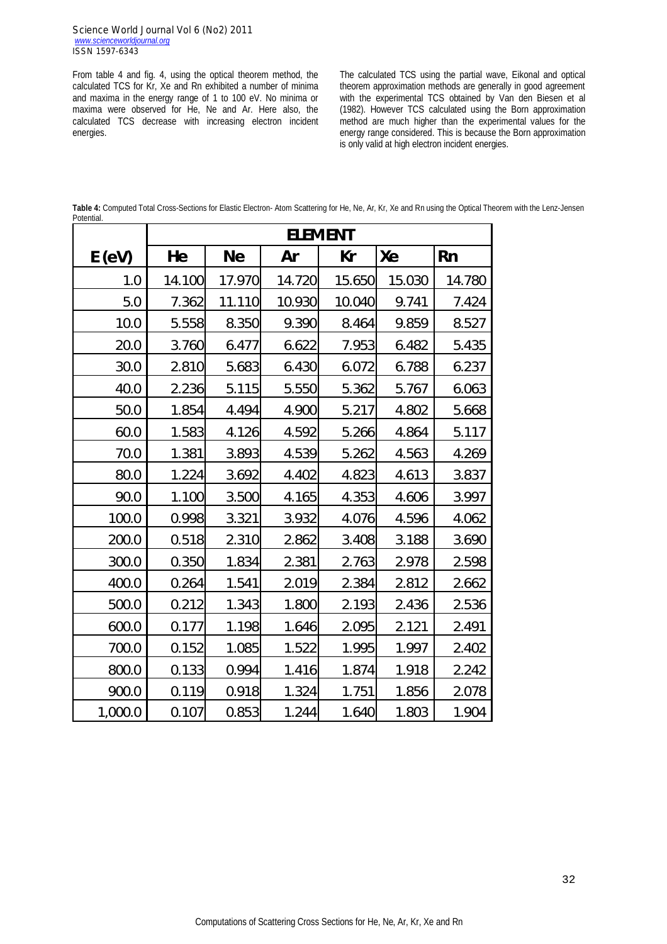From table 4 and fig. 4, using the optical theorem method, the calculated TCS for Kr, Xe and Rn exhibited a number of minima and maxima in the energy range of 1 to 100 eV. No minima or maxima were observed for He, Ne and Ar. Here also, the calculated TCS decrease with increasing electron incident energies.

The calculated TCS using the partial wave, Eikonal and optical theorem approximation methods are generally in good agreement with the experimental TCS obtained by Van den Biesen et al (1982). However TCS calculated using the Born approximation method are much higher than the experimental values for the energy range considered. This is because the Born approximation is only valid at high electron incident energies.

**Table 4:** Computed Total Cross-Sections for Elastic Electron- Atom Scattering for He, Ne, Ar, Kr, Xe and Rn using the Optical Theorem with the Lenz-Jensen Potential.

|         | <b>ELEMENT</b> |           |        |        |        |           |  |  |  |
|---------|----------------|-----------|--------|--------|--------|-----------|--|--|--|
| E(eV)   | He             | <b>Ne</b> | Ar     | Кr     | Xe     | <b>Rn</b> |  |  |  |
| 1.0     | 14.100         | 17.970    | 14.720 | 15.650 | 15.030 | 14.780    |  |  |  |
| 5.0     | 7.362          | 11.110    | 10.930 | 10.040 | 9.741  | 7.424     |  |  |  |
| 10.0    | 5.558          | 8.350     | 9.390  | 8.464  | 9.859  | 8.527     |  |  |  |
| 20.0    | 3.760          | 6.477     | 6.622  | 7.953  | 6.482  | 5.435     |  |  |  |
| 30.0    | 2.810          | 5.683     | 6.430  | 6.072  | 6.788  | 6.237     |  |  |  |
| 40.0    | 2.236          | 5.115     | 5.550  | 5.362  | 5.767  | 6.063     |  |  |  |
| 50.0    | 1.854          | 4.494     | 4.900  | 5.217  | 4.802  | 5.668     |  |  |  |
| 60.0    | 1.583          | 4.126     | 4.592  | 5.266  | 4.864  | 5.117     |  |  |  |
| 70.0    | 1.381          | 3.893     | 4.539  | 5.262  | 4.563  | 4.269     |  |  |  |
| 80.0    | 1.224          | 3.692     | 4.402  | 4.823  | 4.613  | 3.837     |  |  |  |
| 90.0    | 1.100          | 3.500     | 4.165  | 4.353  | 4.606  | 3.997     |  |  |  |
| 100.0   | 0.998          | 3.321     | 3.932  | 4.076  | 4.596  | 4.062     |  |  |  |
| 200.0   | 0.518          | 2.310     | 2.862  | 3.408  | 3.188  | 3.690     |  |  |  |
| 300.0   | 0.350          | 1.834     | 2.381  | 2.763  | 2.978  | 2.598     |  |  |  |
| 400.0   | 0.264          | 1.541     | 2.019  | 2.384  | 2.812  | 2.662     |  |  |  |
| 500.0   | 0.212          | 1.343     | 1.800  | 2.193  | 2.436  | 2.536     |  |  |  |
| 600.0   | 0.177          | 1.198     | 1.646  | 2.095  | 2.121  | 2.491     |  |  |  |
| 700.0   | 0.152          | 1.085     | 1.522  | 1.995  | 1.997  | 2.402     |  |  |  |
| 800.0   | 0.133          | 0.994     | 1.416  | 1.874  | 1.918  | 2.242     |  |  |  |
| 900.0   | 0.119          | 0.918     | 1.324  | 1.751  | 1.856  | 2.078     |  |  |  |
| 1,000.0 | 0.107          | 0.853     | 1.244  | 1.640  | 1.803  | 1.904     |  |  |  |